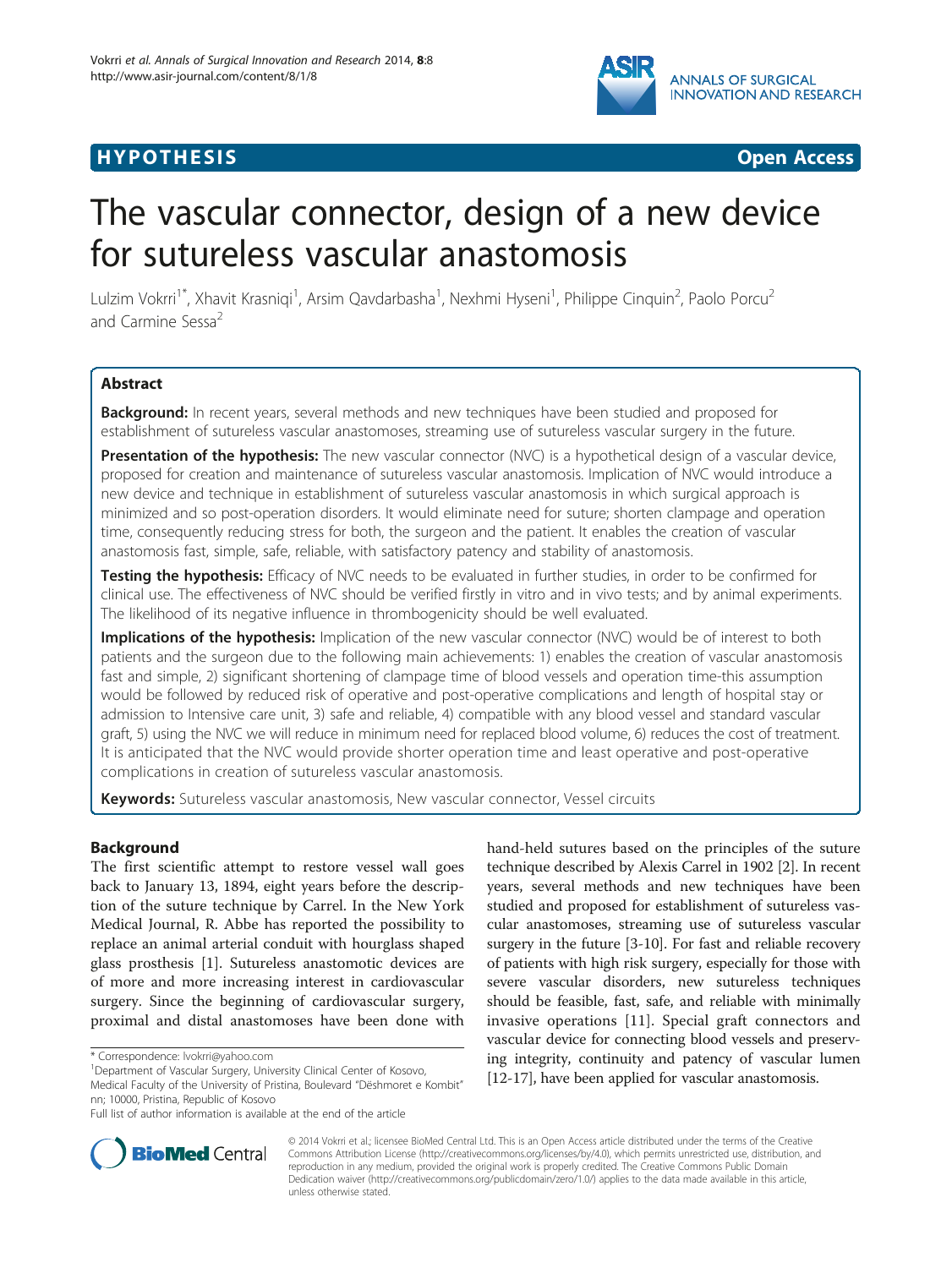

## **HYPOTHESIS** CONSUMING THE SIGN CONSUMING THE SIGN CONSUMING THE SIGN CONSUMING THE SIGN CONSUMING THE SIGN CONSU



# The vascular connector, design of a new device for sutureless vascular anastomosis

Lulzim Vokrri<sup>1\*</sup>, Xhavit Krasniqi<sup>1</sup>, Arsim Qavdarbasha<sup>1</sup>, Nexhmi Hyseni<sup>1</sup>, Philippe Cinquin<sup>2</sup>, Paolo Porcu<sup>2</sup> and Carmine Sessa<sup>2</sup>

### **Abstract**

Background: In recent years, several methods and new techniques have been studied and proposed for establishment of sutureless vascular anastomoses, streaming use of sutureless vascular surgery in the future.

Presentation of the hypothesis: The new vascular connector (NVC) is a hypothetical design of a vascular device, proposed for creation and maintenance of sutureless vascular anastomosis. Implication of NVC would introduce a new device and technique in establishment of sutureless vascular anastomosis in which surgical approach is minimized and so post-operation disorders. It would eliminate need for suture; shorten clampage and operation time, consequently reducing stress for both, the surgeon and the patient. It enables the creation of vascular anastomosis fast, simple, safe, reliable, with satisfactory patency and stability of anastomosis.

Testing the hypothesis: Efficacy of NVC needs to be evaluated in further studies, in order to be confirmed for clinical use. The effectiveness of NVC should be verified firstly in vitro and in vivo tests; and by animal experiments. The likelihood of its negative influence in thrombogenicity should be well evaluated.

Implications of the hypothesis: Implication of the new vascular connector (NVC) would be of interest to both patients and the surgeon due to the following main achievements: 1) enables the creation of vascular anastomosis fast and simple, 2) significant shortening of clampage time of blood vessels and operation time-this assumption would be followed by reduced risk of operative and post-operative complications and length of hospital stay or admission to Intensive care unit, 3) safe and reliable, 4) compatible with any blood vessel and standard vascular graft, 5) using the NVC we will reduce in minimum need for replaced blood volume, 6) reduces the cost of treatment. It is anticipated that the NVC would provide shorter operation time and least operative and post-operative complications in creation of sutureless vascular anastomosis.

Keywords: Sutureless vascular anastomosis, New vascular connector, Vessel circuits

#### Background

The first scientific attempt to restore vessel wall goes back to January 13, 1894, eight years before the description of the suture technique by Carrel. In the New York Medical Journal, R. Abbe has reported the possibility to replace an animal arterial conduit with hourglass shaped glass prosthesis [\[1\]](#page-5-0). Sutureless anastomotic devices are of more and more increasing interest in cardiovascular surgery. Since the beginning of cardiovascular surgery, proximal and distal anastomoses have been done with hand-held sutures based on the principles of the suture technique described by Alexis Carrel in 1902 [[2](#page-5-0)]. In recent years, several methods and new techniques have been studied and proposed for establishment of sutureless vascular anastomoses, streaming use of sutureless vascular surgery in the future [\[3](#page-5-0)-[10](#page-6-0)]. For fast and reliable recovery of patients with high risk surgery, especially for those with severe vascular disorders, new sutureless techniques should be feasible, fast, safe, and reliable with minimally invasive operations [\[11](#page-6-0)]. Special graft connectors and vascular device for connecting blood vessels and preserving integrity, continuity and patency of vascular lumen [[12](#page-6-0)-[17\]](#page-6-0), have been applied for vascular anastomosis.



© 2014 Vokrri et al.; licensee BioMed Central Ltd. This is an Open Access article distributed under the terms of the Creative Commons Attribution License [\(http://creativecommons.org/licenses/by/4.0\)](http://creativecommons.org/licenses/by/4.0), which permits unrestricted use, distribution, and reproduction in any medium, provided the original work is properly credited. The Creative Commons Public Domain Dedication waiver [\(http://creativecommons.org/publicdomain/zero/1.0/](http://creativecommons.org/publicdomain/zero/1.0/)) applies to the data made available in this article, unless otherwise stated.

<sup>\*</sup> Correspondence: [lvokrri@yahoo.com](mailto:lvokrri@yahoo.com) <sup>1</sup>

<sup>&</sup>lt;sup>1</sup>Department of Vascular Surgery, University Clinical Center of Kosovo, Medical Faculty of the University of Pristina, Boulevard "Dëshmoret e Kombit" nn; 10000, Pristina, Republic of Kosovo

Full list of author information is available at the end of the article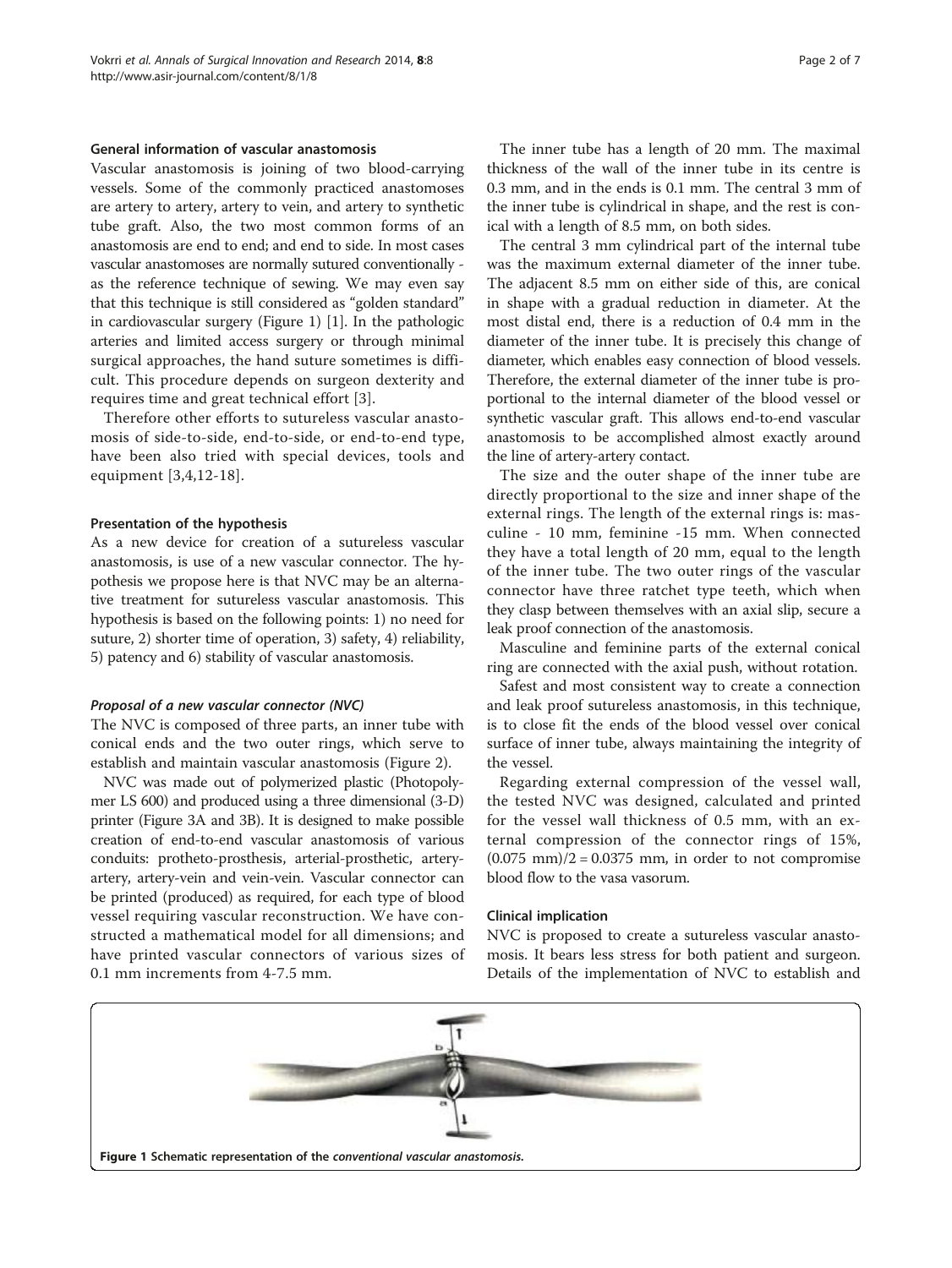#### General information of vascular anastomosis

Vascular anastomosis is joining of two blood-carrying vessels. Some of the commonly practiced anastomoses are artery to artery, artery to vein, and artery to synthetic tube graft. Also, the two most common forms of an anastomosis are end to end; and end to side. In most cases vascular anastomoses are normally sutured conventionally as the reference technique of sewing. We may even say that this technique is still considered as "golden standard" in cardiovascular surgery (Figure 1) [\[1](#page-5-0)]. In the pathologic arteries and limited access surgery or through minimal surgical approaches, the hand suture sometimes is difficult. This procedure depends on surgeon dexterity and requires time and great technical effort [[3](#page-5-0)].

Therefore other efforts to sutureless vascular anastomosis of side-to-side, end-to-side, or end-to-end type, have been also tried with special devices, tools and equipment [\[3](#page-5-0),[4,](#page-5-0)[12-18](#page-6-0)].

#### Presentation of the hypothesis

As a new device for creation of a sutureless vascular anastomosis, is use of a new vascular connector. The hypothesis we propose here is that NVC may be an alternative treatment for sutureless vascular anastomosis. This hypothesis is based on the following points: 1) no need for suture, 2) shorter time of operation, 3) safety, 4) reliability, 5) patency and 6) stability of vascular anastomosis.

#### Proposal of a new vascular connector (NVC)

The NVC is composed of three parts, an inner tube with conical ends and the two outer rings, which serve to establish and maintain vascular anastomosis (Figure [2](#page-2-0)).

NVC was made out of polymerized plastic (Photopolymer LS 600) and produced using a three dimensional (3-D) printer (Figure [3](#page-2-0)A and [3](#page-2-0)B). It is designed to make possible creation of end-to-end vascular anastomosis of various conduits: protheto-prosthesis, arterial-prosthetic, arteryartery, artery-vein and vein-vein. Vascular connector can be printed (produced) as required, for each type of blood vessel requiring vascular reconstruction. We have constructed a mathematical model for all dimensions; and have printed vascular connectors of various sizes of 0.1 mm increments from 4-7.5 mm.

The inner tube has a length of 20 mm. The maximal thickness of the wall of the inner tube in its centre is 0.3 mm, and in the ends is 0.1 mm. The central 3 mm of the inner tube is cylindrical in shape, and the rest is conical with a length of 8.5 mm, on both sides.

The central 3 mm cylindrical part of the internal tube was the maximum external diameter of the inner tube. The adjacent 8.5 mm on either side of this, are conical in shape with a gradual reduction in diameter. At the most distal end, there is a reduction of 0.4 mm in the diameter of the inner tube. It is precisely this change of diameter, which enables easy connection of blood vessels. Therefore, the external diameter of the inner tube is proportional to the internal diameter of the blood vessel or synthetic vascular graft. This allows end-to-end vascular anastomosis to be accomplished almost exactly around the line of artery-artery contact.

The size and the outer shape of the inner tube are directly proportional to the size and inner shape of the external rings. The length of the external rings is: masculine - 10 mm, feminine -15 mm. When connected they have a total length of 20 mm, equal to the length of the inner tube. The two outer rings of the vascular connector have three ratchet type teeth, which when they clasp between themselves with an axial slip, secure a leak proof connection of the anastomosis.

Masculine and feminine parts of the external conical ring are connected with the axial push, without rotation.

Safest and most consistent way to create a connection and leak proof sutureless anastomosis, in this technique, is to close fit the ends of the blood vessel over conical surface of inner tube, always maintaining the integrity of the vessel.

Regarding external compression of the vessel wall, the tested NVC was designed, calculated and printed for the vessel wall thickness of 0.5 mm, with an external compression of the connector rings of 15%,  $(0.075 \text{ mm})/2 = 0.0375 \text{ mm}$ , in order to not compromise blood flow to the vasa vasorum.

#### Clinical implication

NVC is proposed to create a sutureless vascular anastomosis. It bears less stress for both patient and surgeon. Details of the implementation of NVC to establish and

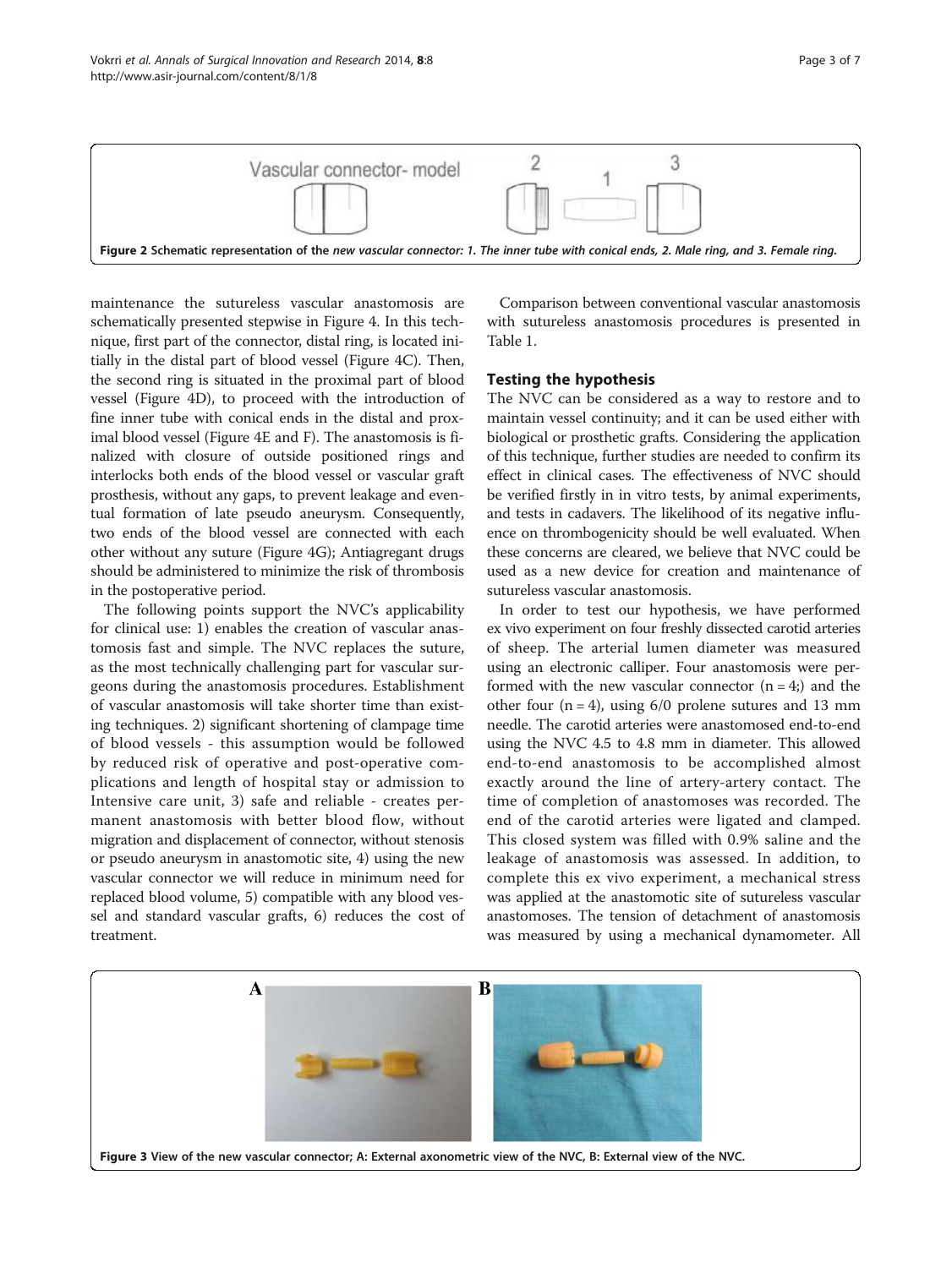<span id="page-2-0"></span>

maintenance the sutureless vascular anastomosis are schematically presented stepwise in Figure [4.](#page-3-0) In this technique, first part of the connector, distal ring, is located initially in the distal part of blood vessel (Figure [4C](#page-3-0)). Then, the second ring is situated in the proximal part of blood vessel (Figure [4](#page-3-0)D), to proceed with the introduction of fine inner tube with conical ends in the distal and proximal blood vessel (Figure [4E](#page-3-0) and F). The anastomosis is finalized with closure of outside positioned rings and interlocks both ends of the blood vessel or vascular graft prosthesis, without any gaps, to prevent leakage and eventual formation of late pseudo aneurysm. Consequently, two ends of the blood vessel are connected with each other without any suture (Figure [4](#page-3-0)G); Antiagregant drugs should be administered to minimize the risk of thrombosis in the postoperative period.

The following points support the NVC's applicability for clinical use: 1) enables the creation of vascular anastomosis fast and simple. The NVC replaces the suture, as the most technically challenging part for vascular surgeons during the anastomosis procedures. Establishment of vascular anastomosis will take shorter time than existing techniques. 2) significant shortening of clampage time of blood vessels - this assumption would be followed by reduced risk of operative and post-operative complications and length of hospital stay or admission to Intensive care unit, 3) safe and reliable - creates permanent anastomosis with better blood flow, without migration and displacement of connector, without stenosis or pseudo aneurysm in anastomotic site, 4) using the new vascular connector we will reduce in minimum need for replaced blood volume, 5) compatible with any blood vessel and standard vascular grafts, 6) reduces the cost of treatment.

Comparison between conventional vascular anastomosis with sutureless anastomosis procedures is presented in Table [1.](#page-3-0)

#### Testing the hypothesis

The NVC can be considered as a way to restore and to maintain vessel continuity; and it can be used either with biological or prosthetic grafts. Considering the application of this technique, further studies are needed to confirm its effect in clinical cases. The effectiveness of NVC should be verified firstly in in vitro tests, by animal experiments, and tests in cadavers. The likelihood of its negative influence on thrombogenicity should be well evaluated. When these concerns are cleared, we believe that NVC could be used as a new device for creation and maintenance of sutureless vascular anastomosis.

In order to test our hypothesis, we have performed ex vivo experiment on four freshly dissected carotid arteries of sheep. The arterial lumen diameter was measured using an electronic calliper. Four anastomosis were performed with the new vascular connector  $(n = 4)$  and the other four  $(n = 4)$ , using  $6/0$  prolene sutures and 13 mm needle. The carotid arteries were anastomosed end-to-end using the NVC 4.5 to 4.8 mm in diameter. This allowed end-to-end anastomosis to be accomplished almost exactly around the line of artery-artery contact. The time of completion of anastomoses was recorded. The end of the carotid arteries were ligated and clamped. This closed system was filled with 0.9% saline and the leakage of anastomosis was assessed. In addition, to complete this ex vivo experiment, a mechanical stress was applied at the anastomotic site of sutureless vascular anastomoses. The tension of detachment of anastomosis was measured by using a mechanical dynamometer. All

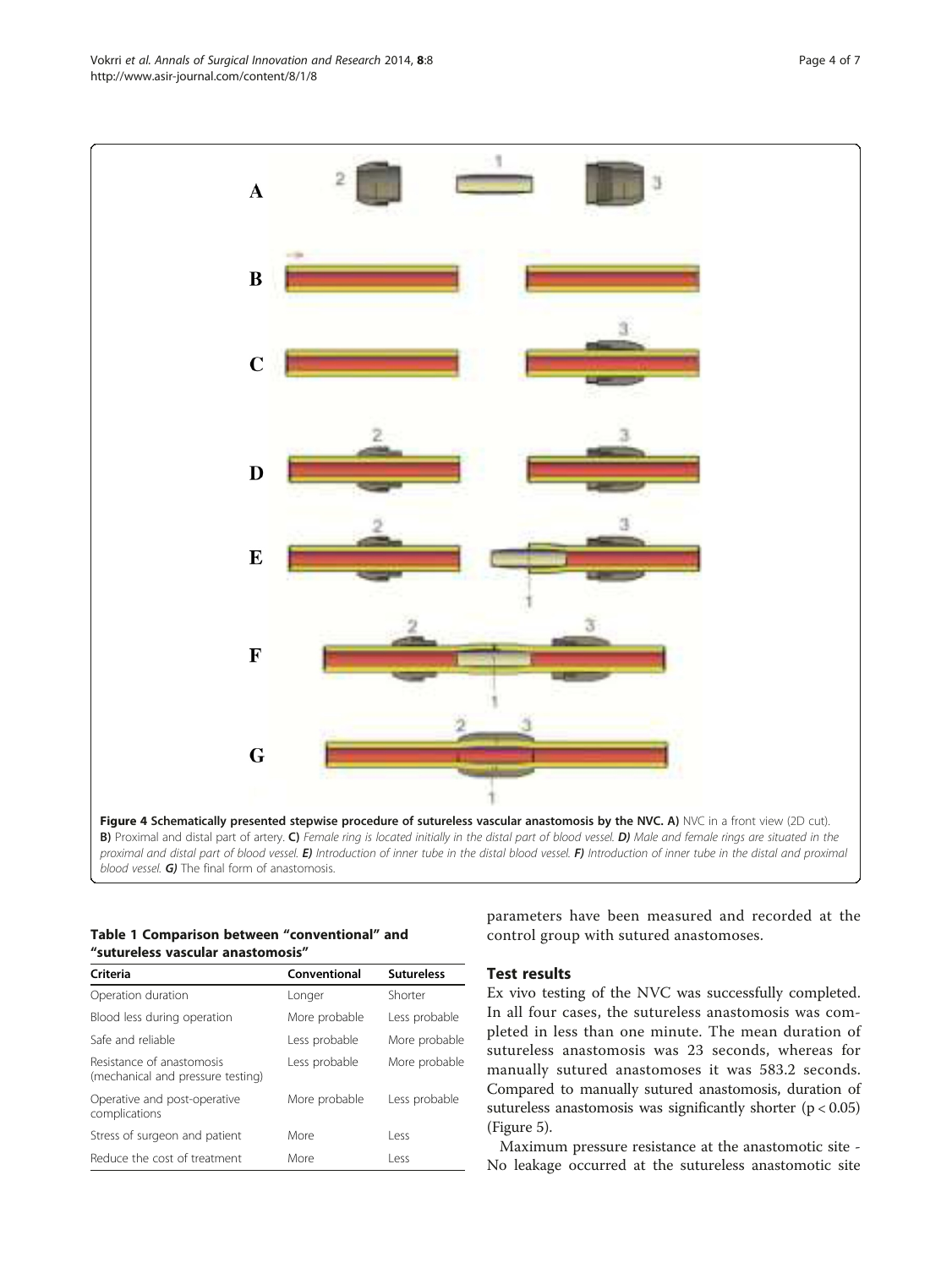<span id="page-3-0"></span>Vokrri et al. Annals of Surgical Innovation and Research 2014, 8:8 Page 4 of 7 http://www.asir-journal.com/content/8/1/8



proximal and distal part of blood vessel. E) Introduction of inner tube in the distal blood vessel. F) Introduction of inner tube in the distal and proximal blood vessel. **G**) The final form of anastomosis.

|                                   |  | Table 1 Comparison between "conventional" and |  |  |
|-----------------------------------|--|-----------------------------------------------|--|--|
| "sutureless vascular anastomosis" |  |                                               |  |  |

| Criteria                                                       | Conventional  | <b>Sutureless</b> |
|----------------------------------------------------------------|---------------|-------------------|
| Operation duration                                             | Longer        | Shorter           |
| Blood less during operation                                    | More probable | Less probable     |
| Safe and reliable                                              | Less probable | More probable     |
| Resistance of anastomosis<br>(mechanical and pressure testing) | Less probable | More probable     |
| Operative and post-operative<br>complications                  | More probable | Less probable     |
| Stress of surgeon and patient                                  | More          | 1e55              |
| Reduce the cost of treatment                                   | More          | less              |

parameters have been measured and recorded at the control group with sutured anastomoses.

#### Test results

Ex vivo testing of the NVC was successfully completed. In all four cases, the sutureless anastomosis was completed in less than one minute. The mean duration of sutureless anastomosis was 23 seconds, whereas for manually sutured anastomoses it was 583.2 seconds. Compared to manually sutured anastomosis, duration of sutureless anastomosis was significantly shorter  $(p < 0.05)$ (Figure [5](#page-4-0)).

Maximum pressure resistance at the anastomotic site - No leakage occurred at the sutureless anastomotic site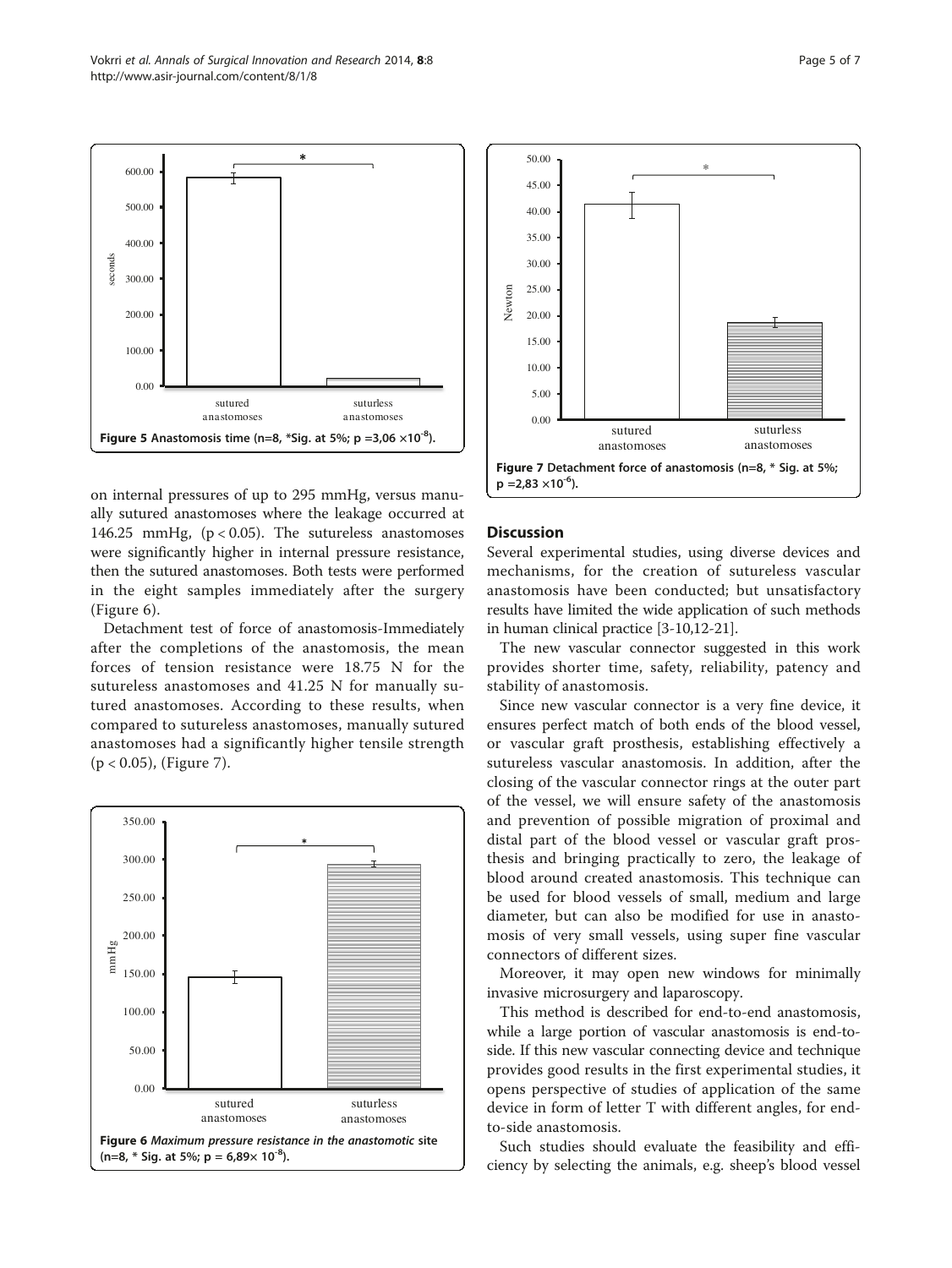on internal pressures of up to 295 mmHg, versus manually sutured anastomoses where the leakage occurred at 146.25 mmHg,  $(p < 0.05)$ . The sutureless anastomoses were significantly higher in internal pressure resistance, then the sutured anastomoses. Both tests were performed in the eight samples immediately after the surgery (Figure 6).

Figure 5 Anastomosis time (n=8, \*Sig. at 5%; p =3,06  $\times$ 10<sup>-8</sup>).

suturless anastomoses

sutured anastomoses

0.00

100.00

200.00

300.00

seconds

400.00

500.00

<span id="page-4-0"></span>600.00

Detachment test of force of anastomosis-Immediately after the completions of the anastomosis, the mean forces of tension resistance were 18.75 N for the sutureless anastomoses and 41.25 N for manually sutured anastomoses. According to these results, when compared to sutureless anastomoses, manually sutured anastomoses had a significantly higher tensile strength  $(p < 0.05)$ , (Figure 7).





\*



50.00

#### **Discussion**

Several experimental studies, using diverse devices and mechanisms, for the creation of sutureless vascular anastomosis have been conducted; but unsatisfactory results have limited the wide application of such methods in human clinical practice [\[3](#page-5-0)[-10,12-21\]](#page-6-0).

The new vascular connector suggested in this work provides shorter time, safety, reliability, patency and stability of anastomosis.

Since new vascular connector is a very fine device, it ensures perfect match of both ends of the blood vessel, or vascular graft prosthesis, establishing effectively a sutureless vascular anastomosis. In addition, after the closing of the vascular connector rings at the outer part of the vessel, we will ensure safety of the anastomosis and prevention of possible migration of proximal and distal part of the blood vessel or vascular graft prosthesis and bringing practically to zero, the leakage of blood around created anastomosis. This technique can be used for blood vessels of small, medium and large diameter, but can also be modified for use in anastomosis of very small vessels, using super fine vascular connectors of different sizes.

Moreover, it may open new windows for minimally invasive microsurgery and laparoscopy.

This method is described for end-to-end anastomosis, while a large portion of vascular anastomosis is end-toside. If this new vascular connecting device and technique provides good results in the first experimental studies, it opens perspective of studies of application of the same device in form of letter T with different angles, for endto-side anastomosis.

Such studies should evaluate the feasibility and efficiency by selecting the animals, e.g. sheep's blood vessel

 $\ast$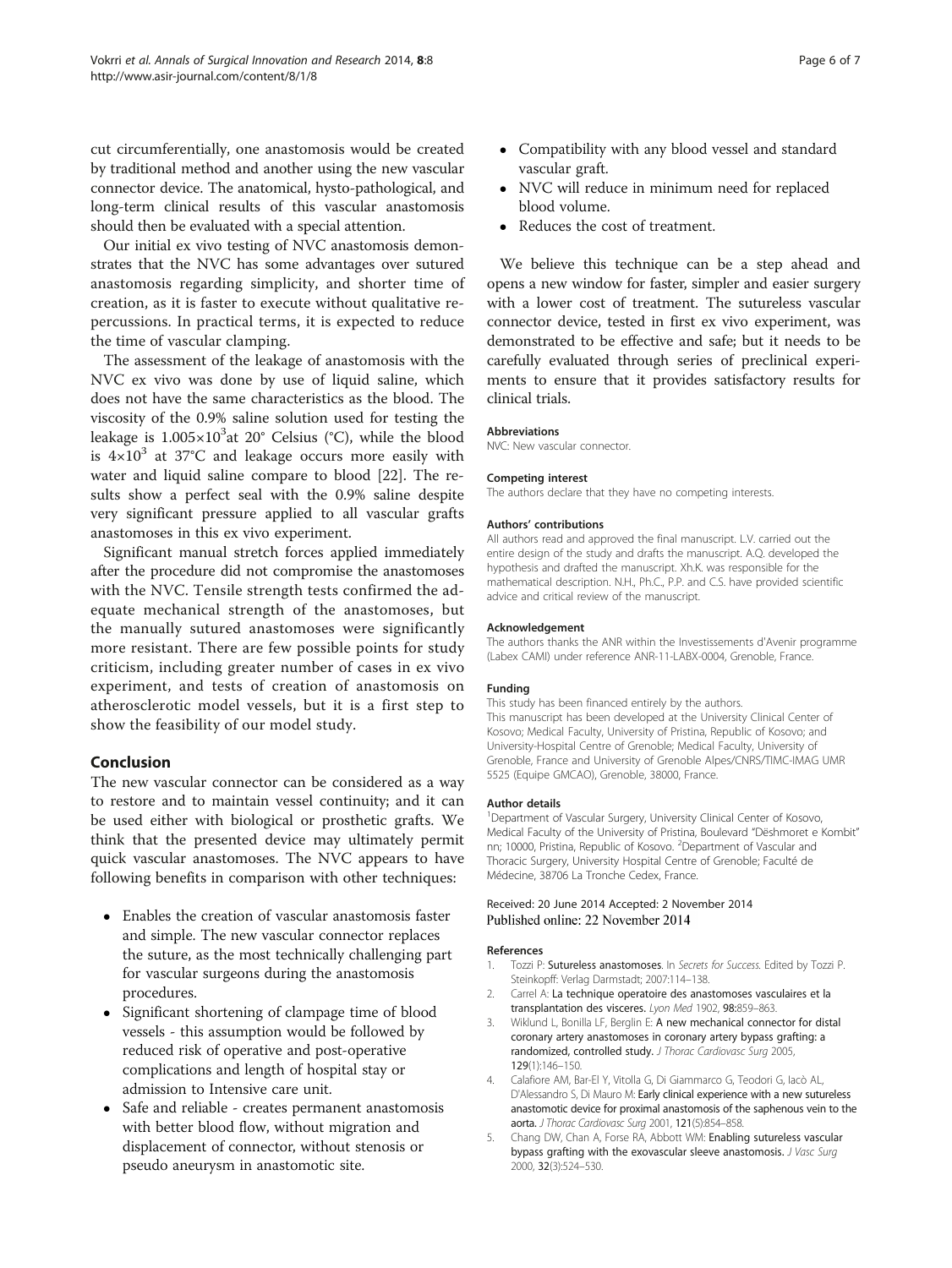<span id="page-5-0"></span>cut circumferentially, one anastomosis would be created by traditional method and another using the new vascular connector device. The anatomical, hysto-pathological, and long-term clinical results of this vascular anastomosis should then be evaluated with a special attention.

Our initial ex vivo testing of NVC anastomosis demonstrates that the NVC has some advantages over sutured anastomosis regarding simplicity, and shorter time of creation, as it is faster to execute without qualitative repercussions. In practical terms, it is expected to reduce the time of vascular clamping.

The assessment of the leakage of anastomosis with the NVC ex vivo was done by use of liquid saline, which does not have the same characteristics as the blood. The viscosity of the 0.9% saline solution used for testing the leakage is 1.005×10<sup>3</sup>at 20° Celsius (°C), while the blood is  $4\times10^{3}$  at 37°C and leakage occurs more easily with water and liquid saline compare to blood [\[22](#page-6-0)]. The results show a perfect seal with the 0.9% saline despite very significant pressure applied to all vascular grafts anastomoses in this ex vivo experiment.

Significant manual stretch forces applied immediately after the procedure did not compromise the anastomoses with the NVC. Tensile strength tests confirmed the adequate mechanical strength of the anastomoses, but the manually sutured anastomoses were significantly more resistant. There are few possible points for study criticism, including greater number of cases in ex vivo experiment, and tests of creation of anastomosis on atherosclerotic model vessels, but it is a first step to show the feasibility of our model study.

#### Conclusion

The new vascular connector can be considered as a way to restore and to maintain vessel continuity; and it can be used either with biological or prosthetic grafts. We think that the presented device may ultimately permit quick vascular anastomoses. The NVC appears to have following benefits in comparison with other techniques:

- Enables the creation of vascular anastomosis faster and simple. The new vascular connector replaces the suture, as the most technically challenging part for vascular surgeons during the anastomosis procedures.
- Significant shortening of clampage time of blood vessels - this assumption would be followed by reduced risk of operative and post-operative complications and length of hospital stay or admission to Intensive care unit.
- Safe and reliable creates permanent anastomosis with better blood flow, without migration and displacement of connector, without stenosis or pseudo aneurysm in anastomotic site.
- Compatibility with any blood vessel and standard vascular graft.
- NVC will reduce in minimum need for replaced blood volume.
- Reduces the cost of treatment.

We believe this technique can be a step ahead and opens a new window for faster, simpler and easier surgery with a lower cost of treatment. The sutureless vascular connector device, tested in first ex vivo experiment, was demonstrated to be effective and safe; but it needs to be carefully evaluated through series of preclinical experiments to ensure that it provides satisfactory results for clinical trials.

#### Abbreviations

NVC: New vascular connector.

#### Competing interest

The authors declare that they have no competing interests.

#### Authors' contributions

All authors read and approved the final manuscript. L.V. carried out the entire design of the study and drafts the manuscript. A.Q. developed the hypothesis and drafted the manuscript. Xh.K. was responsible for the mathematical description. N.H., Ph.C., P.P. and C.S. have provided scientific advice and critical review of the manuscript.

#### Acknowledgement

The authors thanks the ANR within the Investissements d'Avenir programme (Labex CAMI) under reference ANR-11-LABX-0004, Grenoble, France.

#### Funding

This study has been financed entirely by the authors. This manuscript has been developed at the University Clinical Center of Kosovo; Medical Faculty, University of Pristina, Republic of Kosovo; and University-Hospital Centre of Grenoble; Medical Faculty, University of Grenoble, France and University of Grenoble Alpes/CNRS/TIMC-IMAG UMR 5525 (Equipe GMCAO), Grenoble, 38000, France.

#### Author details

<sup>1</sup> Department of Vascular Surgery, University Clinical Center of Kosovo Medical Faculty of the University of Pristina, Boulevard "Dëshmoret e Kombit" nn; 10000, Pristina, Republic of Kosovo. <sup>2</sup>Department of Vascular and Thoracic Surgery, University Hospital Centre of Grenoble; Faculté de Médecine, 38706 La Tronche Cedex, France.

#### Received: 20 June 2014 Accepted: 2 November 2014 Published online: 22 November 2014

#### References

- 1. Tozzi P: Sutureless anastomoses. In Secrets for Success. Edited by Tozzi P. Steinkopff: Verlag Darmstadt; 2007:114–138.
- 2. Carrel A: La technique operatoire des anastomoses vasculaires et la transplantation des visceres. Lyon Med 1902, 98:859–863.
- 3. Wiklund L, Bonilla LF, Berglin E: A new mechanical connector for distal coronary artery anastomoses in coronary artery bypass grafting: a randomized, controlled study. J Thorac Cardiovasc Surg 2005, 129(1):146–150.
- 4. Calafiore AM, Bar-El Y, Vitolla G, Di Giammarco G, Teodori G, Iacò AL, D'Alessandro S, Di Mauro M: Early clinical experience with a new sutureless anastomotic device for proximal anastomosis of the saphenous vein to the aorta. J Thorac Cardiovasc Surg 2001, 121(5):854–858.
- 5. Chang DW, Chan A, Forse RA, Abbott WM: Enabling sutureless vascular bypass grafting with the exovascular sleeve anastomosis. J Vasc Surg 2000, 32(3):524–530.